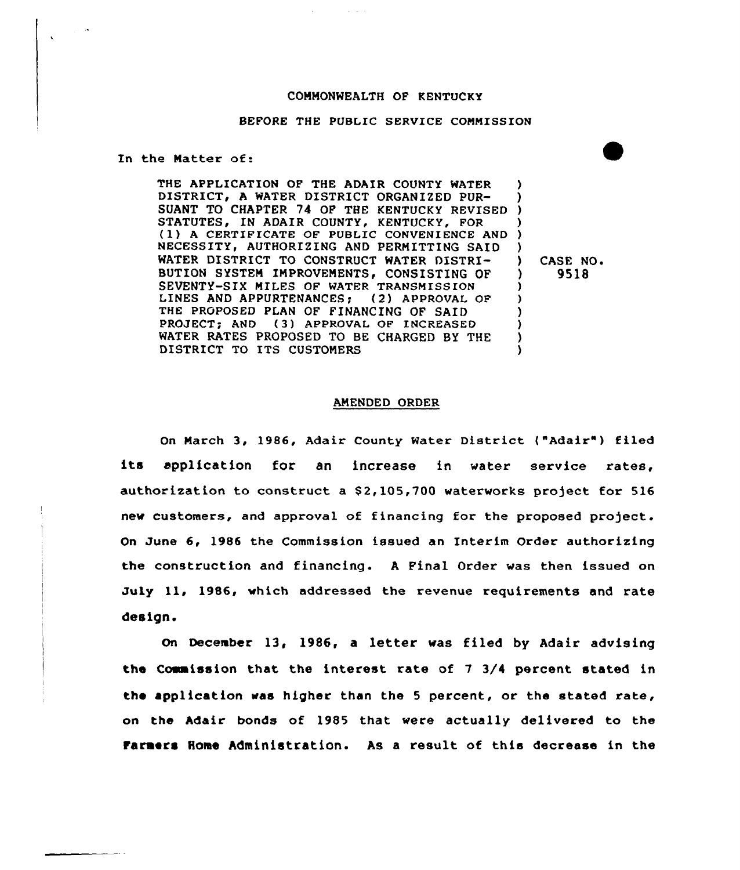## COMMONWEALTH OF KENTUCKY

#### BEFORE THE PUBLIC SERVICE COMMISSION

In the Matter of:

 $\ddot{\phantom{0}}$ 

THE APPLICATION OF THE ADAIR COUNTY WATER DISTRICT, A WATER DISTRICT ORGANIZED PUR-DISTRICT, A WATER DISTRICT ORGANIZED PUR-<br>SUANT TO CHAPTER 74 OF THE KENTUCKY REVISED ) STATUTES, IN ADAIR COUNTY, KENTUCKY, FOR )<br>(1) A CERTIFICATE OF PUBLIC CONVENIENCE AND ) NECESSITY, AUTHORIZING AND PERMITTING SAID WATER DISTRICT TO CONSTRUCT WATER DISTRI-BUTION SYSTEM IMPROVEMENTS, CONSISTING OF SEVENTY-SIX MILES OF WATER TRANSMISSION<br>LINES AND APPURTENANCES: (2) APPROVAL OF LINES AND APPURTENANCES; THE PROPOSED PLAN OF FINANCING OF SAID PROJECT; AND (3) APPROVAL OF INCREASED WATER RATES PROPOSED TO BE CHARGED BY THE DISTRICT TO ITS CUSTOMERS ) ) ) ) ) CASE NO.<br>
1 9518 ) 9518 )  $\lambda$ ) ) ) )

#### AMENDED ORDER

On March 3, 1986, Adair County Water District ("Adair") filed its application for an increase in water service rates, authorization to construct a \$2,105,700 waterworks project for 516 new customers, and approval of financing for the proposed project. On June 6, 1986 the Commission issued an Interim Order authorizing the construction and financing. <sup>A</sup> Final Order was then issued on July 11, 1986, which addressed the revenue requirements and rate design.

On December 13, 1986, a letter was filed by Adair advising the Commission that, the interest rate of 7 3/4 percent stated in the application was higher than the <sup>5</sup> percent, or the stated rate, on the Adair bonds of 1985 that were actually delivered to the Farmers Home Administration. As a result of this decrease in the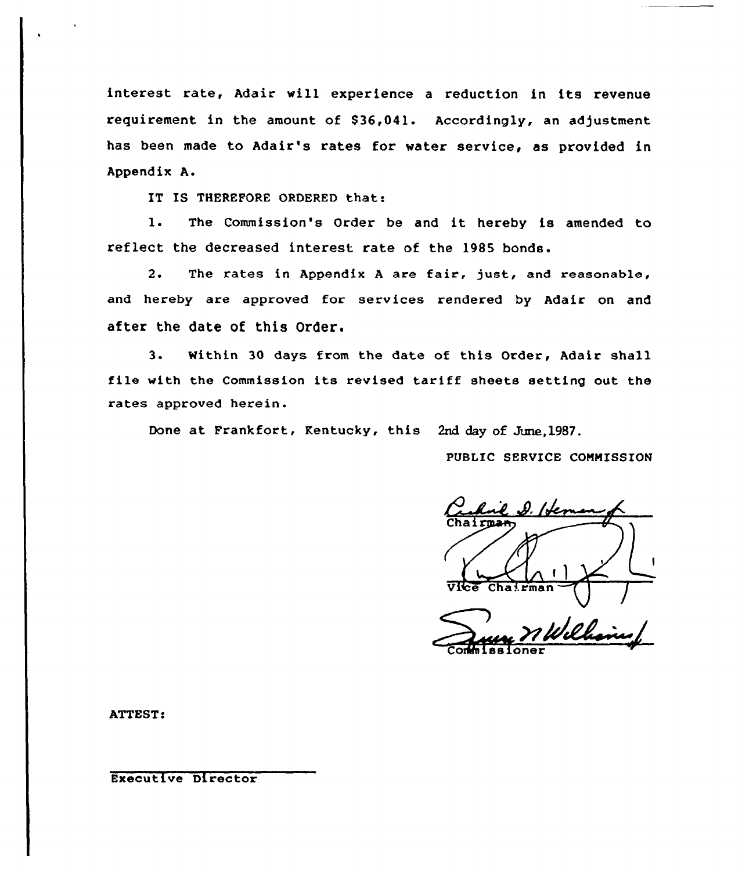interest rate, Adair will experience <sup>a</sup> reduction in its revenue requirement in the amount of 836,041. Accordingly, an adjustment has been made to Adair's rates for water service, as provided in Appendix A.

IT IS THEREFORE ORDERED that:

1. The Commission's Order be and it hereby is amended to reflect the decreased interest rate of the 1985 bonds,

2. The rates in Appendix <sup>A</sup> are fair, just, and reasonable, and hereby are approved for services rendered by Adair on and after the date of this Order.

3. Mithin 30 days from the date of this Order, Adair shall file with the Commission its revised tariff sheets setting out the rates approved herein.

Done at Frankfort, Kentucky, this 2nd day of June,1987.

PUBLIC SERUICE CONNISSION

Chai ioner

**ATTEST:** 

Executive Director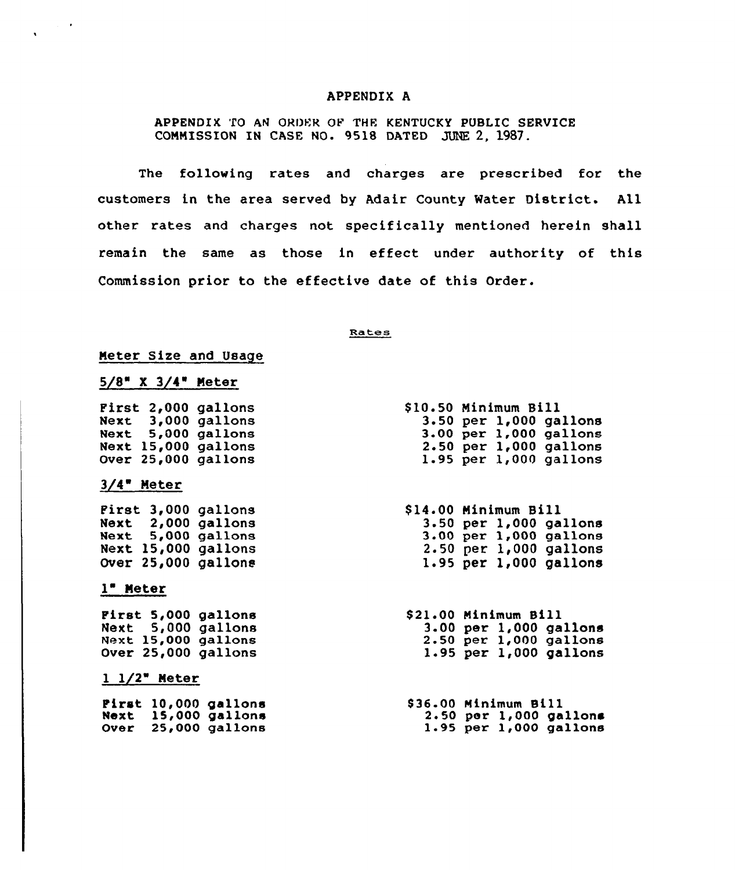#### APPENDIX A

APPENDIX TO AN ORDER OF THE KENTUCKY PUBLIC SERVICE COMMISSION IN CASE NO. 9518 DATED JUNE 2, 1987.

The following rates and charges are prescribed for the customers in the area served by Adair County Water District. All other rates and charges not specifically mentioned herein shall remain the same as those in effect under authority of this Commission prior to the effective date of this Order.

#### Rates

## Meter Size and Usage

| $5/8$ $^{\circ}$ |  | 3/4" | Meter |  |
|------------------|--|------|-------|--|
|                  |  |      |       |  |

First 2,000 gallon Next 3,000 gallon Next 5,000 gallon Next 15,000 gallon Over 25,000 gallon

## $3/4$  Meter

First 3,000 gallons Next 2,000 gallon  $Next 5,000 gallon$ Next 15,000 gallons Over 25,000 gallons

## 1" Meter

First 5,000 gallons Next 5,000 gallons Next 15,000 gallons Over 25,000 gallons

## $1 \frac{1}{2}$  Meter

 $First 10,000 gal$ lon  $Next$  15,000 gallon Over 25,000 gallons

| \$10.50 Minimum Bill |  |                            |
|----------------------|--|----------------------------|
|                      |  | $3.50$ per $1,000$ gallons |
|                      |  | 3.00 per 1,000 gallons     |
|                      |  | $2.50$ per $1,000$ gallons |
|                      |  | $1.95$ per $1,000$ gallons |

\$ 14.00 Minimum Bill 4.00<br>3.50<br>3.00 2.50 per 1,000 gallon 1.95 per 1,000 gallon  $per$  1,000 gallon per 1,000 gallon

\$ 21.00 Minimum Sill 3.00 per 1,000 gallons 2.50 per 1,000 gallons 1.95 per 1,000 gallons

S36.00 Minimum Sill 2.50 per 1,000 gallons 1.95 per 1,000 gallons